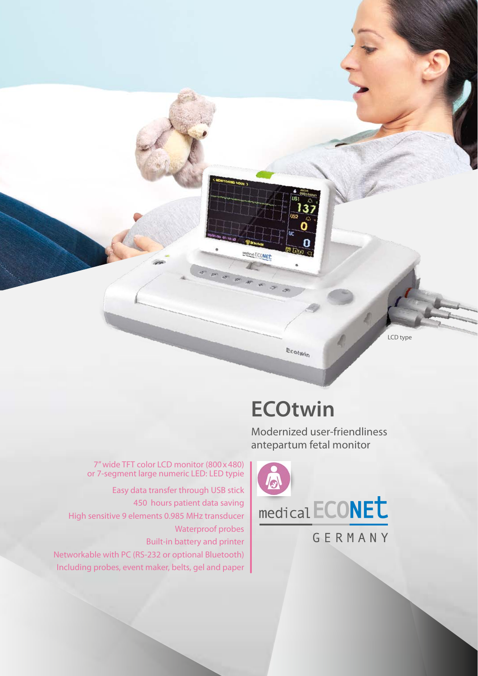LCD type

## $E_{\text{Cotw}_i}$

Medical ECONEL

**ECOtwin**

Modernized user-friendliness antepartum fetal monitor



7" wide TFT color LCD monitor (800x480) or 7-segment large numeric LED: LED typie Easy data transfer through USB stick 450 hours patient data saving High sensitive 9 elements 0.985 MHz transducer

Waterproof probes Built-in battery and printer Networkable with PC (RS-232 or optional Bluetooth) Including probes, event maker, belts, gel and paper